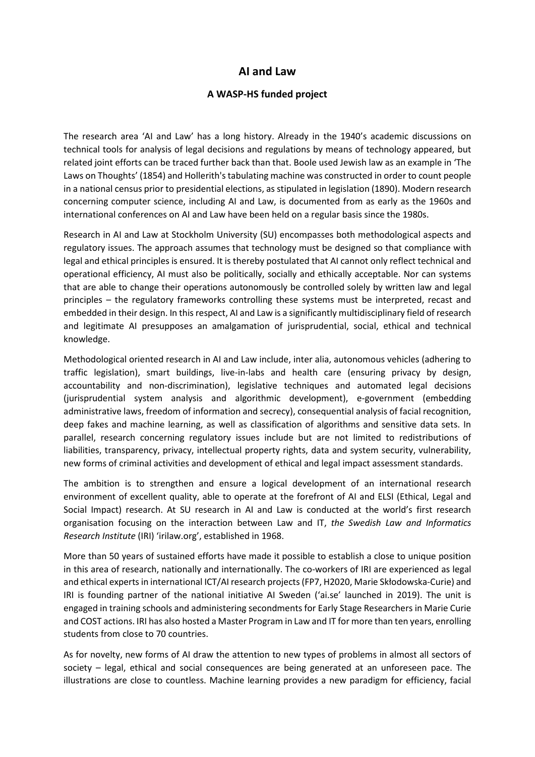## **AI and Law**

## **A WASP-HS funded project**

The research area 'AI and Law' has a long history. Already in the 1940's academic discussions on technical tools for analysis of legal decisions and regulations by means of technology appeared, but related joint efforts can be traced further back than that. Boole used Jewish law as an example in 'The Laws on Thoughts' (1854) and Hollerith's tabulating machine was constructed in order to count people in a national census prior to presidential elections, as stipulated in legislation (1890). Modern research concerning computer science, including AI and Law, is documented from as early as the 1960s and international conferences on AI and Law have been held on a regular basis since the 1980s.

Research in AI and Law at Stockholm University (SU) encompasses both methodological aspects and regulatory issues. The approach assumes that technology must be designed so that compliance with legal and ethical principles is ensured. It is thereby postulated that AI cannot only reflect technical and operational efficiency, AI must also be politically, socially and ethically acceptable. Nor can systems that are able to change their operations autonomously be controlled solely by written law and legal principles – the regulatory frameworks controlling these systems must be interpreted, recast and embedded in their design. In this respect, AI and Law is a significantly multidisciplinary field of research and legitimate AI presupposes an amalgamation of jurisprudential, social, ethical and technical knowledge.

Methodological oriented research in AI and Law include, inter alia, autonomous vehicles (adhering to traffic legislation), smart buildings, live-in-labs and health care (ensuring privacy by design, accountability and non-discrimination), legislative techniques and automated legal decisions (jurisprudential system analysis and algorithmic development), e-government (embedding administrative laws, freedom of information and secrecy), consequential analysis of facial recognition, deep fakes and machine learning, as well as classification of algorithms and sensitive data sets. In parallel, research concerning regulatory issues include but are not limited to redistributions of liabilities, transparency, privacy, intellectual property rights, data and system security, vulnerability, new forms of criminal activities and development of ethical and legal impact assessment standards.

The ambition is to strengthen and ensure a logical development of an international research environment of excellent quality, able to operate at the forefront of AI and ELSI (Ethical, Legal and Social Impact) research. At SU research in AI and Law is conducted at the world's first research organisation focusing on the interaction between Law and IT, *the Swedish Law and Informatics Research Institute* (IRI) 'irilaw.org', established in 1968.

More than 50 years of sustained efforts have made it possible to establish a close to unique position in this area of research, nationally and internationally. The co-workers of IRI are experienced as legal and ethical experts in international ICT/AI research projects (FP7, H2020, Marie Skłodowska-Curie) and IRI is founding partner of the national initiative AI Sweden ('ai.se' launched in 2019). The unit is engaged in training schools and administering secondments for Early Stage Researchers in Marie Curie and COST actions. IRI has also hosted a Master Program in Law and IT for more than ten years, enrolling students from close to 70 countries.

As for novelty, new forms of AI draw the attention to new types of problems in almost all sectors of society – legal, ethical and social consequences are being generated at an unforeseen pace. The illustrations are close to countless. Machine learning provides a new paradigm for efficiency, facial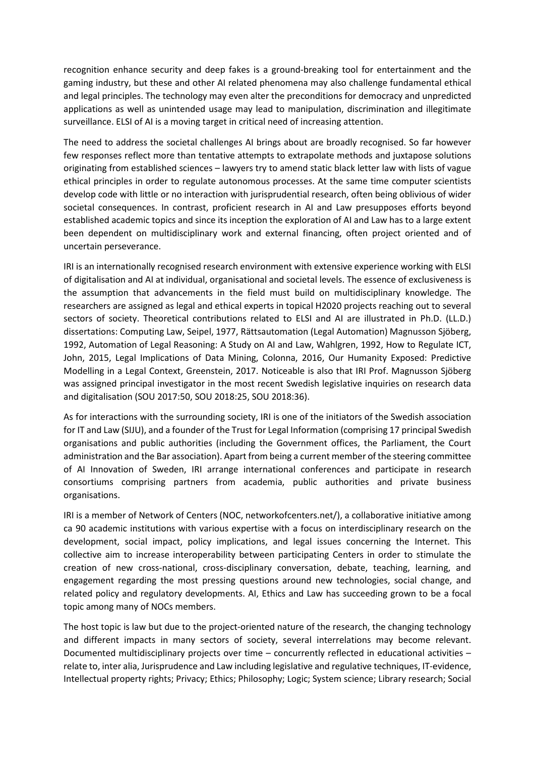recognition enhance security and deep fakes is a ground-breaking tool for entertainment and the gaming industry, but these and other AI related phenomena may also challenge fundamental ethical and legal principles. The technology may even alter the preconditions for democracy and unpredicted applications as well as unintended usage may lead to manipulation, discrimination and illegitimate surveillance. ELSI of AI is a moving target in critical need of increasing attention.

The need to address the societal challenges AI brings about are broadly recognised. So far however few responses reflect more than tentative attempts to extrapolate methods and juxtapose solutions originating from established sciences – lawyers try to amend static black letter law with lists of vague ethical principles in order to regulate autonomous processes. At the same time computer scientists develop code with little or no interaction with jurisprudential research, often being oblivious of wider societal consequences. In contrast, proficient research in AI and Law presupposes efforts beyond established academic topics and since its inception the exploration of AI and Law has to a large extent been dependent on multidisciplinary work and external financing, often project oriented and of uncertain perseverance.

IRI is an internationally recognised research environment with extensive experience working with ELSI of digitalisation and AI at individual, organisational and societal levels. The essence of exclusiveness is the assumption that advancements in the field must build on multidisciplinary knowledge. The researchers are assigned as legal and ethical experts in topical H2020 projects reaching out to several sectors of society. Theoretical contributions related to ELSI and AI are illustrated in Ph.D. (LL.D.) dissertations: Computing Law, Seipel, 1977, Rättsautomation (Legal Automation) Magnusson Sjöberg, 1992, Automation of Legal Reasoning: A Study on AI and Law, Wahlgren, 1992, How to Regulate ICT, John, 2015, Legal Implications of Data Mining, Colonna, 2016, Our Humanity Exposed: Predictive Modelling in a Legal Context, Greenstein, 2017. Noticeable is also that IRI Prof. Magnusson Sjöberg was assigned principal investigator in the most recent Swedish legislative inquiries on research data and digitalisation (SOU 2017:50, SOU 2018:25, SOU 2018:36).

As for interactions with the surrounding society, IRI is one of the initiators of the Swedish association for IT and Law (SIJU), and a founder of the Trust for Legal Information (comprising 17 principal Swedish organisations and public authorities (including the Government offices, the Parliament, the Court administration and the Bar association). Apart from being a current member of the steering committee of AI Innovation of Sweden, IRI arrange international conferences and participate in research consortiums comprising partners from academia, public authorities and private business organisations.

IRI is a member of Network of Centers (NOC, networkofcenters.net/), a collaborative initiative among ca 90 academic institutions with various expertise with a focus on interdisciplinary research on the development, social impact, policy implications, and legal issues concerning the Internet. This collective aim to increase interoperability between participating Centers in order to stimulate the creation of new cross-national, cross-disciplinary conversation, debate, teaching, learning, and engagement regarding the most pressing questions around new technologies, social change, and related policy and regulatory developments. AI, Ethics and Law has succeeding grown to be a focal topic among many of NOCs members.

The host topic is law but due to the project-oriented nature of the research, the changing technology and different impacts in many sectors of society, several interrelations may become relevant. Documented multidisciplinary projects over time – concurrently reflected in educational activities – relate to, inter alia, Jurisprudence and Law including legislative and regulative techniques, IT-evidence, Intellectual property rights; Privacy; Ethics; Philosophy; Logic; System science; Library research; Social